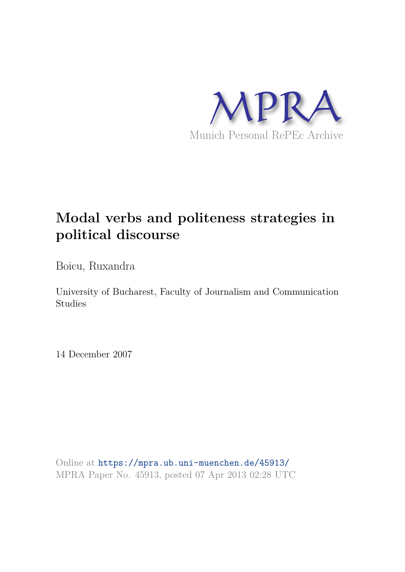

# **Modal verbs and politeness strategies in political discourse**

Boicu, Ruxandra

University of Bucharest, Faculty of Journalism and Communication Studies

14 December 2007

Online at https://mpra.ub.uni-muenchen.de/45913/ MPRA Paper No. 45913, posted 07 Apr 2013 02:28 UTC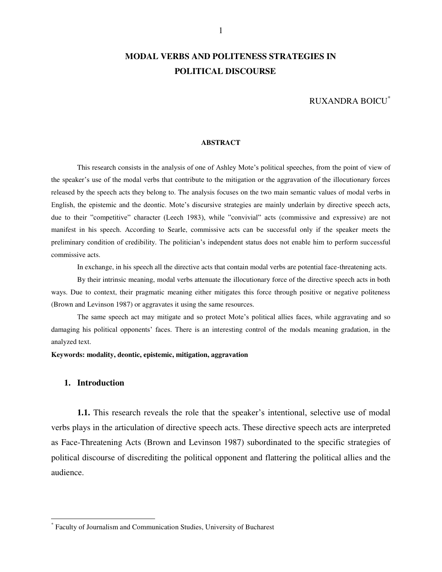# **MODAL VERBS AND POLITENESS STRATEGIES IN POLITICAL DISCOURSE**

RUXANDRA BOICU\*

#### **ABSTRACT**

This research consists in the analysis of one of Ashley Mote's political speeches, from the point of view of the speaker's use of the modal verbs that contribute to the mitigation or the aggravation of the illocutionary forces released by the speech acts they belong to. The analysis focuses on the two main semantic values of modal verbs in English, the epistemic and the deontic. Mote's discursive strategies are mainly underlain by directive speech acts, due to their "competitive" character (Leech 1983), while "convivial" acts (commissive and expressive) are not manifest in his speech. According to Searle, commissive acts can be successful only if the speaker meets the preliminary condition of credibility. The politician's independent status does not enable him to perform successful commissive acts.

In exchange, in his speech all the directive acts that contain modal verbs are potential face-threatening acts.

By their intrinsic meaning, modal verbs attenuate the illocutionary force of the directive speech acts in both ways. Due to context, their pragmatic meaning either mitigates this force through positive or negative politeness (Brown and Levinson 1987) or aggravates it using the same resources.

The same speech act may mitigate and so protect Mote's political allies faces, while aggravating and so damaging his political opponents' faces. There is an interesting control of the modals meaning gradation, in the analyzed text.

**Keywords: modality, deontic, epistemic, mitigation, aggravation** 

## **1. Introduction**

 $\overline{a}$ 

**1.1.** This research reveals the role that the speaker's intentional, selective use of modal verbs plays in the articulation of directive speech acts. These directive speech acts are interpreted as Face-Threatening Acts (Brown and Levinson 1987) subordinated to the specific strategies of political discourse of discrediting the political opponent and flattering the political allies and the audience.

<sup>\*</sup> Faculty of Journalism and Communication Studies, University of Bucharest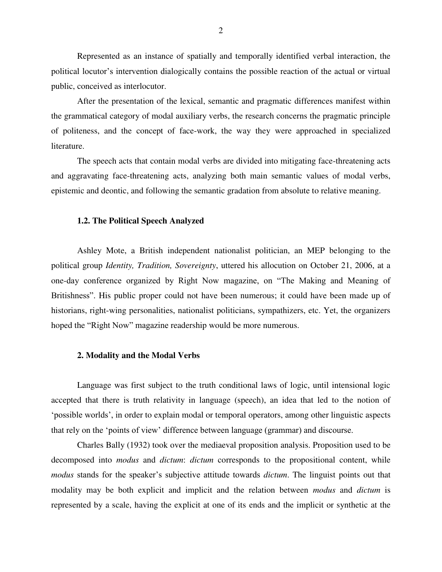Represented as an instance of spatially and temporally identified verbal interaction, the political locutor's intervention dialogically contains the possible reaction of the actual or virtual public, conceived as interlocutor.

After the presentation of the lexical, semantic and pragmatic differences manifest within the grammatical category of modal auxiliary verbs, the research concerns the pragmatic principle of politeness, and the concept of face-work, the way they were approached in specialized literature.

The speech acts that contain modal verbs are divided into mitigating face-threatening acts and aggravating face-threatening acts, analyzing both main semantic values of modal verbs, epistemic and deontic, and following the semantic gradation from absolute to relative meaning.

#### **1.2. The Political Speech Analyzed**

Ashley Mote, a British independent nationalist politician, an MEP belonging to the political group *Identity, Tradition, Sovereignty*, uttered his allocution on October 21, 2006, at a one-day conference organized by Right Now magazine, on "The Making and Meaning of Britishness". His public proper could not have been numerous; it could have been made up of historians, right-wing personalities, nationalist politicians, sympathizers, etc. Yet, the organizers hoped the "Right Now" magazine readership would be more numerous.

#### **2. Modality and the Modal Verbs**

Language was first subject to the truth conditional laws of logic, until intensional logic accepted that there is truth relativity in language (speech), an idea that led to the notion of 'possible worlds', in order to explain modal or temporal operators, among other linguistic aspects that rely on the 'points of view' difference between language (grammar) and discourse.

Charles Bally (1932) took over the mediaeval proposition analysis. Proposition used to be decomposed into *modus* and *dictum*: *dictum* corresponds to the propositional content, while *modus* stands for the speaker's subjective attitude towards *dictum*. The linguist points out that modality may be both explicit and implicit and the relation between *modus* and *dictum* is represented by a scale, having the explicit at one of its ends and the implicit or synthetic at the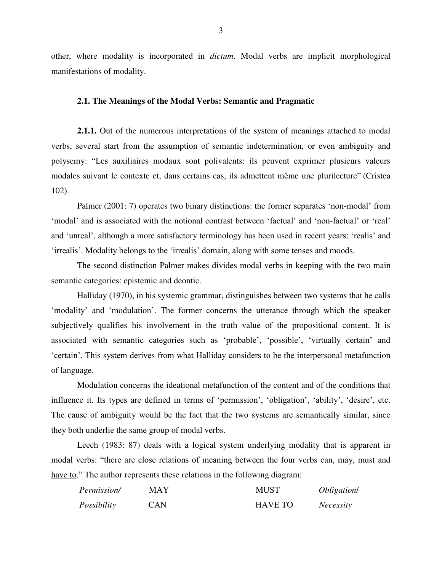other, where modality is incorporated in *dictum*. Modal verbs are implicit morphological manifestations of modality.

## **2.1. The Meanings of the Modal Verbs: Semantic and Pragmatic**

**2.1.1.** Out of the numerous interpretations of the system of meanings attached to modal verbs, several start from the assumption of semantic indetermination, or even ambiguity and polysemy: "Les auxiliaires modaux sont polivalents: ils peuvent exprimer plusieurs valeurs modales suivant le contexte et, dans certains cas, ils admettent même une plurilecture" (Cristea 102).

Palmer (2001: 7) operates two binary distinctions: the former separates 'non-modal' from 'modal' and is associated with the notional contrast between 'factual' and 'non-factual' or 'real' and 'unreal', although a more satisfactory terminology has been used in recent years: 'realis' and 'irrealis'. Modality belongs to the 'irrealis' domain, along with some tenses and moods.

The second distinction Palmer makes divides modal verbs in keeping with the two main semantic categories: epistemic and deontic.

Halliday (1970), in his systemic grammar, distinguishes between two systems that he calls 'modality' and 'modulation'. The former concerns the utterance through which the speaker subjectively qualifies his involvement in the truth value of the propositional content. It is associated with semantic categories such as 'probable', 'possible', 'virtually certain' and 'certain'. This system derives from what Halliday considers to be the interpersonal metafunction of language.

Modulation concerns the ideational metafunction of the content and of the conditions that influence it. Its types are defined in terms of 'permission', 'obligation', 'ability', 'desire', etc. The cause of ambiguity would be the fact that the two systems are semantically similar, since they both underlie the same group of modal verbs.

Leech (1983: 87) deals with a logical system underlying modality that is apparent in modal verbs: "there are close relations of meaning between the four verbs can, may, must and have to." The author represents these relations in the following diagram:

| Permission/ | MAY        | <b>MUST</b>    | <i>Obligation</i> |
|-------------|------------|----------------|-------------------|
| Possibility | <b>CAN</b> | <b>HAVE TO</b> | <i>Necessity</i>  |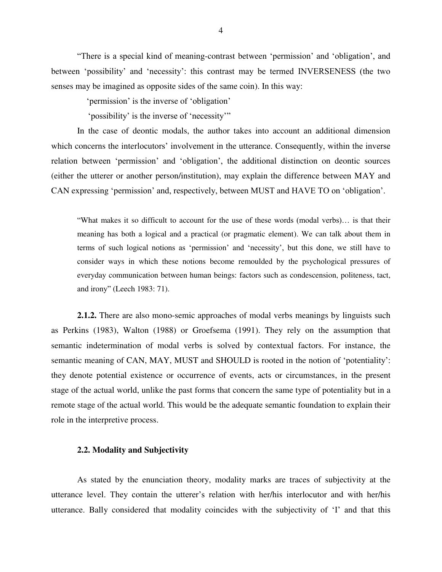"There is a special kind of meaning-contrast between 'permission' and 'obligation', and between 'possibility' and 'necessity': this contrast may be termed INVERSENESS (the two senses may be imagined as opposite sides of the same coin). In this way:

'permission' is the inverse of 'obligation'

'possibility' is the inverse of 'necessity'"

In the case of deontic modals, the author takes into account an additional dimension which concerns the interlocutors' involvement in the utterance. Consequently, within the inverse relation between 'permission' and 'obligation', the additional distinction on deontic sources (either the utterer or another person/institution), may explain the difference between MAY and CAN expressing 'permission' and, respectively, between MUST and HAVE TO on 'obligation'.

"What makes it so difficult to account for the use of these words (modal verbs)… is that their meaning has both a logical and a practical (or pragmatic element). We can talk about them in terms of such logical notions as 'permission' and 'necessity', but this done, we still have to consider ways in which these notions become remoulded by the psychological pressures of everyday communication between human beings: factors such as condescension, politeness, tact, and irony" (Leech 1983: 71).

**2.1.2.** There are also mono-semic approaches of modal verbs meanings by linguists such as Perkins (1983), Walton (1988) or Groefsema (1991). They rely on the assumption that semantic indetermination of modal verbs is solved by contextual factors. For instance, the semantic meaning of CAN, MAY, MUST and SHOULD is rooted in the notion of 'potentiality': they denote potential existence or occurrence of events, acts or circumstances, in the present stage of the actual world, unlike the past forms that concern the same type of potentiality but in a remote stage of the actual world. This would be the adequate semantic foundation to explain their role in the interpretive process.

## **2.2. Modality and Subjectivity**

As stated by the enunciation theory, modality marks are traces of subjectivity at the utterance level. They contain the utterer's relation with her/his interlocutor and with her/his utterance. Bally considered that modality coincides with the subjectivity of 'I' and that this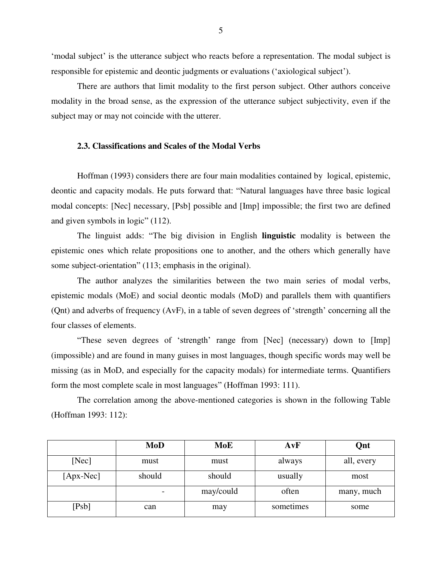'modal subject' is the utterance subject who reacts before a representation. The modal subject is responsible for epistemic and deontic judgments or evaluations ('axiological subject').

There are authors that limit modality to the first person subject. Other authors conceive modality in the broad sense, as the expression of the utterance subject subjectivity, even if the subject may or may not coincide with the utterer.

## **2.3. Classifications and Scales of the Modal Verbs**

Hoffman (1993) considers there are four main modalities contained by logical, epistemic, deontic and capacity modals. He puts forward that: "Natural languages have three basic logical modal concepts: [Nec] necessary, [Psb] possible and [Imp] impossible; the first two are defined and given symbols in logic" (112).

The linguist adds: "The big division in English **linguistic** modality is between the epistemic ones which relate propositions one to another, and the others which generally have some subject-orientation" (113; emphasis in the original).

The author analyzes the similarities between the two main series of modal verbs, epistemic modals (MoE) and social deontic modals (MoD) and parallels them with quantifiers (Qnt) and adverbs of frequency (AvF), in a table of seven degrees of 'strength' concerning all the four classes of elements.

"These seven degrees of 'strength' range from [Nec] (necessary) down to [Imp] (impossible) and are found in many guises in most languages, though specific words may well be missing (as in MoD, and especially for the capacity modals) for intermediate terms. Quantifiers form the most complete scale in most languages" (Hoffman 1993: 111).

The correlation among the above-mentioned categories is shown in the following Table (Hoffman 1993: 112):

|             | <b>MoD</b> | MoE       | AvF       | Qnt        |
|-------------|------------|-----------|-----------|------------|
| [Nec]       | must       | must      | always    | all, every |
| $[Apx-Nec]$ | should     | should    | usually   | most       |
|             |            | may/could | often     | many, much |
| [Psb]       | can        | may       | sometimes | some       |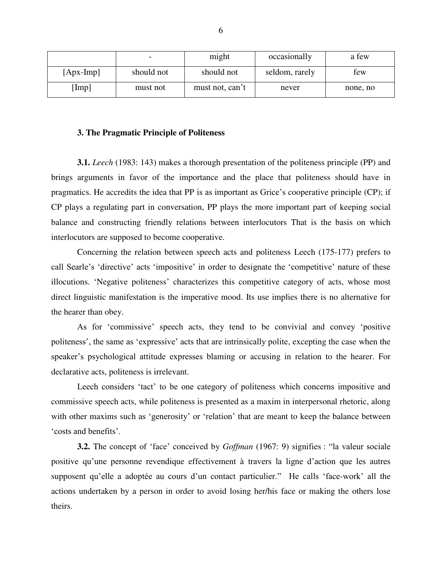|                 | $\overline{\phantom{0}}$ | might           | occasionally   | a few    |
|-----------------|--------------------------|-----------------|----------------|----------|
| $[$ Apx-Imp $]$ | should not               | should not      | seldom, rarely | few      |
| [Imp]           | must not                 | must not, can't | never          | none, no |

## **3. The Pragmatic Principle of Politeness**

**3.1.** *Leech* (1983: 143) makes a thorough presentation of the politeness principle (PP) and brings arguments in favor of the importance and the place that politeness should have in pragmatics. He accredits the idea that PP is as important as Grice's cooperative principle (CP); if CP plays a regulating part in conversation, PP plays the more important part of keeping social balance and constructing friendly relations between interlocutors That is the basis on which interlocutors are supposed to become cooperative.

Concerning the relation between speech acts and politeness Leech (175-177) prefers to call Searle's 'directive' acts 'impositive' in order to designate the 'competitive' nature of these illocutions. 'Negative politeness' characterizes this competitive category of acts, whose most direct linguistic manifestation is the imperative mood. Its use implies there is no alternative for the hearer than obey.

As for 'commissive' speech acts, they tend to be convivial and convey 'positive politeness', the same as 'expressive' acts that are intrinsically polite, excepting the case when the speaker's psychological attitude expresses blaming or accusing in relation to the hearer. For declarative acts, politeness is irrelevant.

Leech considers 'tact' to be one category of politeness which concerns impositive and commissive speech acts, while politeness is presented as a maxim in interpersonal rhetoric, along with other maxims such as 'generosity' or 'relation' that are meant to keep the balance between 'costs and benefits'.

**3.2.** The concept of 'face' conceived by *Goffman* (1967: 9) signifies : "la valeur sociale positive qu'une personne revendique effectivement à travers la ligne d'action que les autres supposent qu'elle a adoptée au cours d'un contact particulier." He calls 'face-work' all the actions undertaken by a person in order to avoid losing her/his face or making the others lose theirs.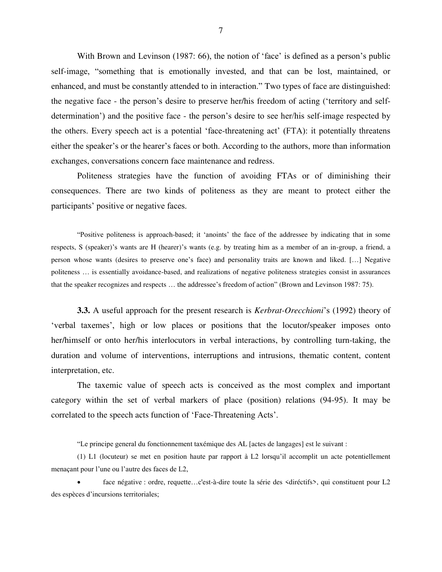With Brown and Levinson (1987: 66), the notion of 'face' is defined as a person's public self-image, "something that is emotionally invested, and that can be lost, maintained, or enhanced, and must be constantly attended to in interaction." Two types of face are distinguished: the negative face - the person's desire to preserve her/his freedom of acting ('territory and selfdetermination') and the positive face - the person's desire to see her/his self-image respected by the others. Every speech act is a potential 'face-threatening act' (FTA): it potentially threatens either the speaker's or the hearer's faces or both. According to the authors, more than information exchanges, conversations concern face maintenance and redress.

Politeness strategies have the function of avoiding FTAs or of diminishing their consequences. There are two kinds of politeness as they are meant to protect either the participants' positive or negative faces.

"Positive politeness is approach-based; it 'anoints' the face of the addressee by indicating that in some respects, S (speaker)'s wants are H (hearer)'s wants (e.g. by treating him as a member of an in-group, a friend, a person whose wants (desires to preserve one's face) and personality traits are known and liked. […] Negative politeness … is essentially avoidance-based, and realizations of negative politeness strategies consist in assurances that the speaker recognizes and respects … the addressee's freedom of action" (Brown and Levinson 1987: 75).

**3.3.** A useful approach for the present research is *Kerbrat-Orecchioni*'s (1992) theory of 'verbal taxemes', high or low places or positions that the locutor/speaker imposes onto her/himself or onto her/his interlocutors in verbal interactions, by controlling turn-taking, the duration and volume of interventions, interruptions and intrusions, thematic content, content interpretation, etc.

The taxemic value of speech acts is conceived as the most complex and important category within the set of verbal markers of place (position) relations (94-95). It may be correlated to the speech acts function of 'Face-Threatening Acts'.

"Le principe general du fonctionnement taxémique des AL [actes de langages] est le suivant :

(1) L1 (locuteur) se met en position haute par rapport à L2 lorsqu'il accomplit un acte potentiellement menaçant pour l'une ou l'autre des faces de L2,

 face négative : ordre, requette…c'est-à-dire toute la série des <diréctifs>, qui constituent pour L2 des espèces d'incursions territoriales;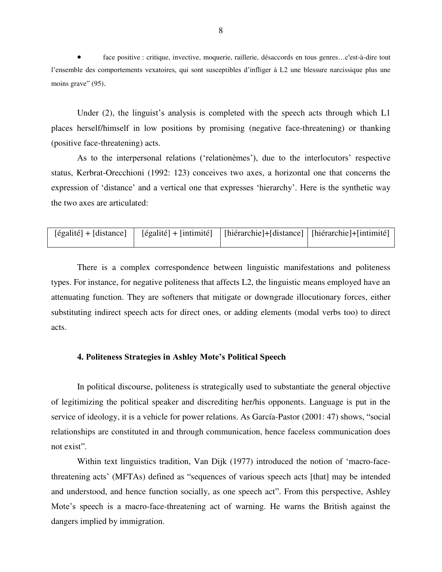face positive : critique, invective, moquerie, raillerie, désaccords en tous genres…c'est-à-dire tout l'ensemble des comportements vexatoires, qui sont susceptibles d'infliger à L2 une blessure narcissique plus une moins grave" (95).

Under (2), the linguist's analysis is completed with the speech acts through which L1 places herself/himself in low positions by promising (negative face-threatening) or thanking (positive face-threatening) acts.

As to the interpersonal relations ('relationèmes'), due to the interlocutors' respective status, Kerbrat-Orecchioni (1992: 123) conceives two axes, a horizontal one that concerns the expression of 'distance' and a vertical one that expresses 'hierarchy'. Here is the synthetic way the two axes are articulated:

| $[égalité] + [distance]$ | [égalité] + [intimité]   [hiérarchie] + [distance]   [hiérarchie] + [intimité] |  |
|--------------------------|--------------------------------------------------------------------------------|--|
|                          |                                                                                |  |

There is a complex correspondence between linguistic manifestations and politeness types. For instance, for negative politeness that affects L2, the linguistic means employed have an attenuating function. They are softeners that mitigate or downgrade illocutionary forces, either substituting indirect speech acts for direct ones, or adding elements (modal verbs too) to direct acts.

## **4. Politeness Strategies in Ashley Mote's Political Speech**

In political discourse, politeness is strategically used to substantiate the general objective of legitimizing the political speaker and discrediting her/his opponents. Language is put in the service of ideology, it is a vehicle for power relations. As García-Pastor (2001: 47) shows, "social relationships are constituted in and through communication, hence faceless communication does not exist".

Within text linguistics tradition, Van Dijk (1977) introduced the notion of 'macro-facethreatening acts' (MFTAs) defined as "sequences of various speech acts [that] may be intended and understood, and hence function socially, as one speech act". From this perspective, Ashley Mote's speech is a macro-face-threatening act of warning. He warns the British against the dangers implied by immigration.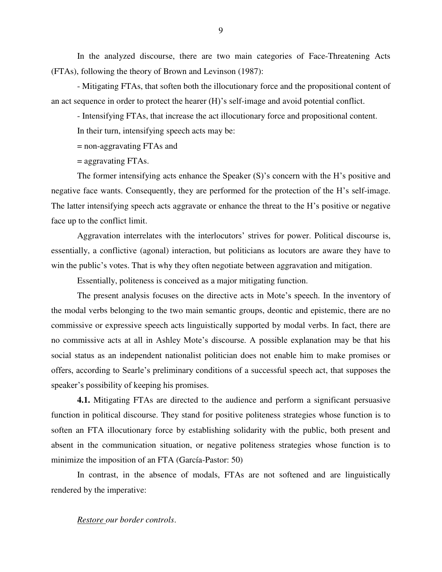In the analyzed discourse, there are two main categories of Face-Threatening Acts (FTAs), following the theory of Brown and Levinson (1987):

- Mitigating FTAs, that soften both the illocutionary force and the propositional content of an act sequence in order to protect the hearer (H)'s self-image and avoid potential conflict.

- Intensifying FTAs, that increase the act illocutionary force and propositional content.

In their turn, intensifying speech acts may be:

= non-aggravating FTAs and

= aggravating FTAs.

The former intensifying acts enhance the Speaker (S)'s concern with the H's positive and negative face wants. Consequently, they are performed for the protection of the H's self-image. The latter intensifying speech acts aggravate or enhance the threat to the H's positive or negative face up to the conflict limit.

Aggravation interrelates with the interlocutors' strives for power. Political discourse is, essentially, a conflictive (agonal) interaction, but politicians as locutors are aware they have to win the public's votes. That is why they often negotiate between aggravation and mitigation.

Essentially, politeness is conceived as a major mitigating function.

The present analysis focuses on the directive acts in Mote's speech. In the inventory of the modal verbs belonging to the two main semantic groups, deontic and epistemic, there are no commissive or expressive speech acts linguistically supported by modal verbs. In fact, there are no commissive acts at all in Ashley Mote's discourse. A possible explanation may be that his social status as an independent nationalist politician does not enable him to make promises or offers, according to Searle's preliminary conditions of a successful speech act, that supposes the speaker's possibility of keeping his promises.

**4.1.** Mitigating FTAs are directed to the audience and perform a significant persuasive function in political discourse. They stand for positive politeness strategies whose function is to soften an FTA illocutionary force by establishing solidarity with the public, both present and absent in the communication situation, or negative politeness strategies whose function is to minimize the imposition of an FTA (García-Pastor: 50)

In contrast, in the absence of modals, FTAs are not softened and are linguistically rendered by the imperative:

*Restore our border controls*.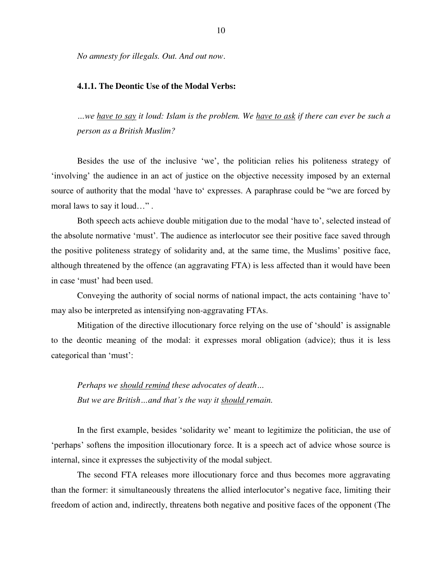*No amnesty for illegals. Out. And out now*.

#### **4.1.1. The Deontic Use of the Modal Verbs:**

*…we have to say it loud: Islam is the problem. We have to ask if there can ever be such a person as a British Muslim?* 

Besides the use of the inclusive 'we', the politician relies his politeness strategy of 'involving' the audience in an act of justice on the objective necessity imposed by an external source of authority that the modal 'have to' expresses. A paraphrase could be "we are forced by moral laws to say it loud…" .

Both speech acts achieve double mitigation due to the modal 'have to', selected instead of the absolute normative 'must'. The audience as interlocutor see their positive face saved through the positive politeness strategy of solidarity and, at the same time, the Muslims' positive face, although threatened by the offence (an aggravating FTA) is less affected than it would have been in case 'must' had been used.

Conveying the authority of social norms of national impact, the acts containing 'have to' may also be interpreted as intensifying non-aggravating FTAs.

Mitigation of the directive illocutionary force relying on the use of 'should' is assignable to the deontic meaning of the modal: it expresses moral obligation (advice); thus it is less categorical than 'must':

*Perhaps we should remind these advocates of death… But we are British…and that's the way it should remain.* 

In the first example, besides 'solidarity we' meant to legitimize the politician, the use of 'perhaps' softens the imposition illocutionary force. It is a speech act of advice whose source is internal, since it expresses the subjectivity of the modal subject.

The second FTA releases more illocutionary force and thus becomes more aggravating than the former: it simultaneously threatens the allied interlocutor's negative face, limiting their freedom of action and, indirectly, threatens both negative and positive faces of the opponent (The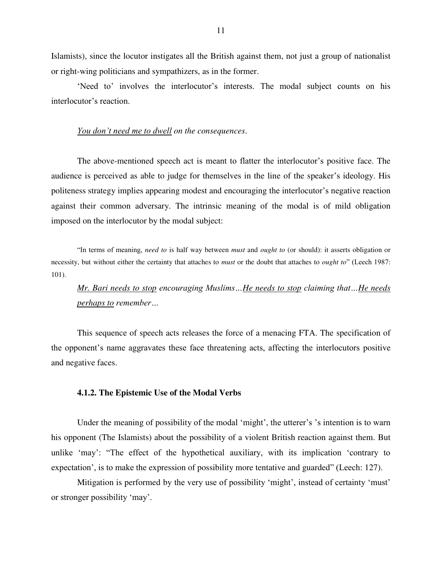Islamists), since the locutor instigates all the British against them, not just a group of nationalist or right-wing politicians and sympathizers, as in the former.

'Need to' involves the interlocutor's interests. The modal subject counts on his interlocutor's reaction.

## *You don't need me to dwell on the consequences*.

The above-mentioned speech act is meant to flatter the interlocutor's positive face. The audience is perceived as able to judge for themselves in the line of the speaker's ideology. His politeness strategy implies appearing modest and encouraging the interlocutor's negative reaction against their common adversary. The intrinsic meaning of the modal is of mild obligation imposed on the interlocutor by the modal subject:

"In terms of meaning, *need to* is half way between *must* and *ought to* (or should): it asserts obligation or necessity, but without either the certainty that attaches to *must* or the doubt that attaches to *ought to*" (Leech 1987: 101).

*Mr. Bari needs to stop encouraging Muslims…He needs to stop claiming that…He needs perhaps to remember…*

This sequence of speech acts releases the force of a menacing FTA. The specification of the opponent's name aggravates these face threatening acts, affecting the interlocutors positive and negative faces.

#### **4.1.2. The Epistemic Use of the Modal Verbs**

Under the meaning of possibility of the modal 'might', the utterer's 's intention is to warn his opponent (The Islamists) about the possibility of a violent British reaction against them. But unlike 'may': "The effect of the hypothetical auxiliary, with its implication 'contrary to expectation', is to make the expression of possibility more tentative and guarded" (Leech: 127).

Mitigation is performed by the very use of possibility 'might', instead of certainty 'must' or stronger possibility 'may'.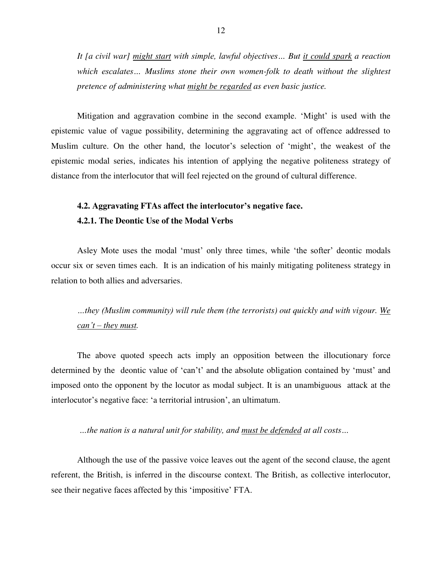*It [a civil war] might start with simple, lawful objectives… But it could spark a reaction which escalates… Muslims stone their own women-folk to death without the slightest pretence of administering what might be regarded as even basic justice.* 

Mitigation and aggravation combine in the second example. 'Might' is used with the epistemic value of vague possibility, determining the aggravating act of offence addressed to Muslim culture. On the other hand, the locutor's selection of 'might', the weakest of the epistemic modal series, indicates his intention of applying the negative politeness strategy of distance from the interlocutor that will feel rejected on the ground of cultural difference.

## **4.2. Aggravating FTAs affect the interlocutor's negative face. 4.2.1. The Deontic Use of the Modal Verbs**

Asley Mote uses the modal 'must' only three times, while 'the softer' deontic modals occur six or seven times each. It is an indication of his mainly mitigating politeness strategy in relation to both allies and adversaries.

*…they (Muslim community) will rule them (the terrorists) out quickly and with vigour. We can't – they must.* 

The above quoted speech acts imply an opposition between the illocutionary force determined by the deontic value of 'can't' and the absolute obligation contained by 'must' and imposed onto the opponent by the locutor as modal subject. It is an unambiguous attack at the interlocutor's negative face: 'a territorial intrusion', an ultimatum.

*…the nation is a natural unit for stability, and must be defended at all costs…*

Although the use of the passive voice leaves out the agent of the second clause, the agent referent, the British, is inferred in the discourse context. The British, as collective interlocutor, see their negative faces affected by this 'impositive' FTA.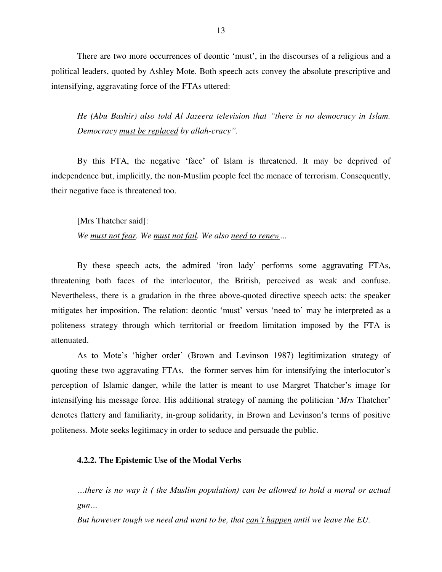There are two more occurrences of deontic 'must', in the discourses of a religious and a political leaders, quoted by Ashley Mote. Both speech acts convey the absolute prescriptive and intensifying, aggravating force of the FTAs uttered:

*He (Abu Bashir) also told Al Jazeera television that "there is no democracy in Islam. Democracy must be replaced by allah-cracy".* 

By this FTA, the negative 'face' of Islam is threatened. It may be deprived of independence but, implicitly, the non-Muslim people feel the menace of terrorism. Consequently, their negative face is threatened too.

[Mrs Thatcher said]:

*We must not fear. We must not fail. We also need to renew…*

By these speech acts, the admired 'iron lady' performs some aggravating FTAs, threatening both faces of the interlocutor, the British, perceived as weak and confuse. Nevertheless, there is a gradation in the three above-quoted directive speech acts: the speaker mitigates her imposition. The relation: deontic 'must' versus 'need to' may be interpreted as a politeness strategy through which territorial or freedom limitation imposed by the FTA is attenuated.

As to Mote's 'higher order' (Brown and Levinson 1987) legitimization strategy of quoting these two aggravating FTAs, the former serves him for intensifying the interlocutor's perception of Islamic danger, while the latter is meant to use Margret Thatcher's image for intensifying his message force. His additional strategy of naming the politician '*Mrs* Thatcher' denotes flattery and familiarity, in-group solidarity, in Brown and Levinson's terms of positive politeness. Mote seeks legitimacy in order to seduce and persuade the public.

## **4.2.2. The Epistemic Use of the Modal Verbs**

*…there is no way it ( the Muslim population) can be allowed to hold a moral or actual gun…*

*But however tough we need and want to be, that can't happen until we leave the EU.*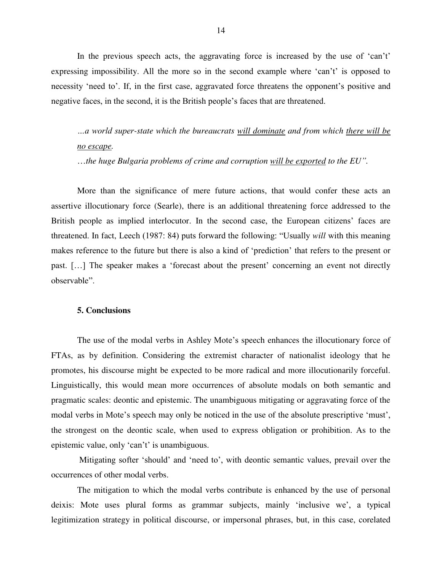In the previous speech acts, the aggravating force is increased by the use of 'can't' expressing impossibility. All the more so in the second example where 'can't' is opposed to necessity 'need to'. If, in the first case, aggravated force threatens the opponent's positive and negative faces, in the second, it is the British people's faces that are threatened.

*…a world super-state which the bureaucrats will dominate and from which there will be no escape.*

…*the huge Bulgaria problems of crime and corruption will be exported to the EU".* 

More than the significance of mere future actions, that would confer these acts an assertive illocutionary force (Searle), there is an additional threatening force addressed to the British people as implied interlocutor. In the second case, the European citizens' faces are threatened. In fact, Leech (1987: 84) puts forward the following: "Usually *will* with this meaning makes reference to the future but there is also a kind of 'prediction' that refers to the present or past. […] The speaker makes a 'forecast about the present' concerning an event not directly observable".

## **5. Conclusions**

The use of the modal verbs in Ashley Mote's speech enhances the illocutionary force of FTAs, as by definition. Considering the extremist character of nationalist ideology that he promotes, his discourse might be expected to be more radical and more illocutionarily forceful. Linguistically, this would mean more occurrences of absolute modals on both semantic and pragmatic scales: deontic and epistemic. The unambiguous mitigating or aggravating force of the modal verbs in Mote's speech may only be noticed in the use of the absolute prescriptive 'must', the strongest on the deontic scale, when used to express obligation or prohibition. As to the epistemic value, only 'can't' is unambiguous.

 Mitigating softer 'should' and 'need to', with deontic semantic values, prevail over the occurrences of other modal verbs.

The mitigation to which the modal verbs contribute is enhanced by the use of personal deixis: Mote uses plural forms as grammar subjects, mainly 'inclusive we', a typical legitimization strategy in political discourse, or impersonal phrases, but, in this case, corelated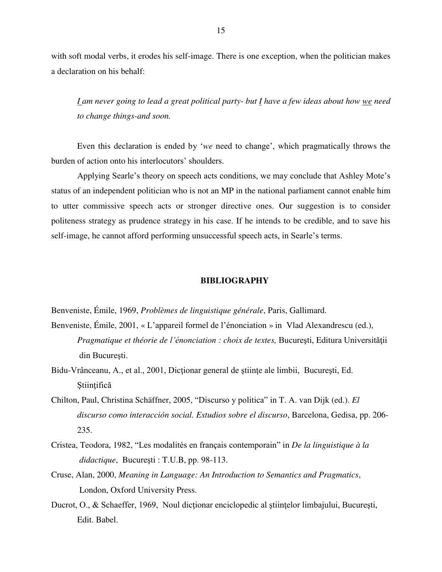with soft modal verbs, it erodes his self-image. There is one exception, when the politician makes a declaration on his behalf:

*I am never going to lead a great political party- but I have a few ideas about how we need to change things-and soon.*

Even this declaration is ended by '*we* need to change', which pragmatically throws the burden of action onto his interlocutors' shoulders.

Applying Searle's theory on speech acts conditions, we may conclude that Ashley Mote's status of an independent politician who is not an MP in the national parliament cannot enable him to utter commissive speech acts or stronger directive ones. Our suggestion is to consider politeness strategy as prudence strategy in his case. If he intends to be credible, and to save his self-image, he cannot afford performing unsuccessful speech acts, in Searle's terms.

#### **BIBLIOGRAPHY**

Benveniste, Émile, 1969, *Problèmes de linguistique générale*, Paris, Gallimard.

- Benveniste, Émile, 2001, « L'appareil formel de l'énonciation » in Vlad Alexandrescu (ed.), *Pragmatique et théorie de l'énonciation : choix de textes,* Bucureşti, Editura Universităţii din Bucureşti.
- Bidu-Vrânceanu, A., et al., 2001, Dicționar general de științe ale limbii, București, Ed. Ştiinţifică
- Chilton, Paul, Christina Schäffner, 2005, "Discurso y politica" in T. A. van Dijk (ed.). *El discurso como interacción social. Estudios sobre el discurso*, Barcelona, Gedisa, pp. 206- 235.
- Cristea, Teodora, 1982, "Les modalités en français contemporain" in *De la linguistique à la didactique*, Bucureşti : T.U.B, pp. 98-113.
- Cruse, Alan, 2000, *Meaning in Language: An Introduction to Semantics and Pragmatics*, London, Oxford University Press.
- Ducrot, O., & Schaeffer, 1969, Noul dictionar enciclopedic al stiintelor limbajului, București, Edit. Babel.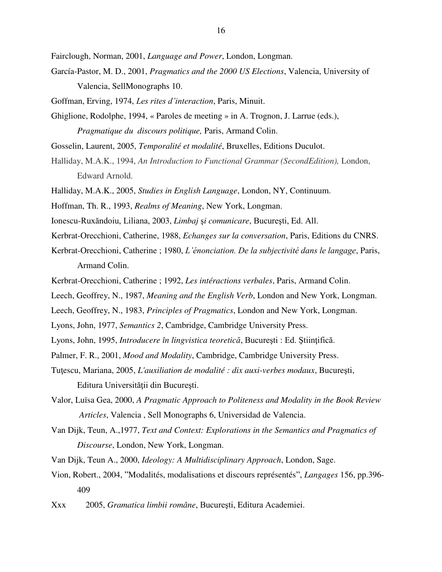Fairclough, Norman, 2001, *Language and Power*, London, Longman.

- García-Pastor, M. D., 2001, *Pragmatics and the 2000 US Elections*, Valencia, University of Valencia, SellMonographs 10.
- Goffman, Erving, 1974, *Les rites d'interaction*, Paris, Minuit.
- Ghiglione, Rodolphe, 1994, « Paroles de meeting » in A. Trognon, J. Larrue (eds.), *Pragmatique du discours politique,* Paris, Armand Colin.
- Gosselin, Laurent, 2005, *Temporalité et modalité*, Bruxelles, Editions Duculot.
- Halliday, M.A.K., 1994, *An Introduction to Functional Grammar (SecondEdition),* London, Edward Arnold.
- Halliday, M.A.K., 2005, *Studies in English Language*, London, NY, Continuum.
- Hoffman, Th. R., 1993, *Realms of Meaning*, New York, Longman.
- Ionescu-Ruxăndoiu, Liliana, 2003, *Limbaj* ş*i comunicare*, Bucureşti, Ed. All.
- Kerbrat-Orecchioni, Catherine, 1988, *Echanges sur la conversation*, Paris, Editions du CNRS.
- Kerbrat-Orecchioni, Catherine ; 1980, *L'énonciation. De la subjectivité dans le langage*, Paris, Armand Colin.
- Kerbrat-Orecchioni, Catherine ; 1992, *Les intéractions verbales*, Paris, Armand Colin.
- Leech, Geoffrey, N., 1987, *Meaning and the English Verb*, London and New York, Longman.
- Leech, Geoffrey, N., 1983, *Principles of Pragmatics*, London and New York, Longman.
- Lyons, John, 1977, *Semantics 2*, Cambridge, Cambridge University Press.
- Lyons, John, 1995, *Introducere în lingvistica teoretică*, Bucureşti : Ed. Ştiinţifică.
- Palmer, F. R., 2001, *Mood and Modality*, Cambridge, Cambridge University Press.
- Tuţescu, Mariana, 2005, *L'auxiliation de modalité : dix auxi-verbes modaux*, Bucureşti, Editura Universităţii din Bucureşti.
- Valor, Luïsa Gea, 2000, *A Pragmatic Approach to Politeness and Modality in the Book Review Articles*, Valencia , Sell Monographs 6, Universidad de Valencia.
- Van Dijk, Teun, A.,1977, *Text and Context: Explorations in the Semantics and Pragmatics of Discourse*, London, New York, Longman.
- Van Dijk, Teun A., 2000, *Ideology: A Multidisciplinary Approach*, London, Sage.
- Vion, Robert., 2004, "Modalités, modalisations et discours représentés", *Langages* 156, pp.396- 409
- Xxx 2005, *Gramatica limbii române*, Bucureşti, Editura Academiei.